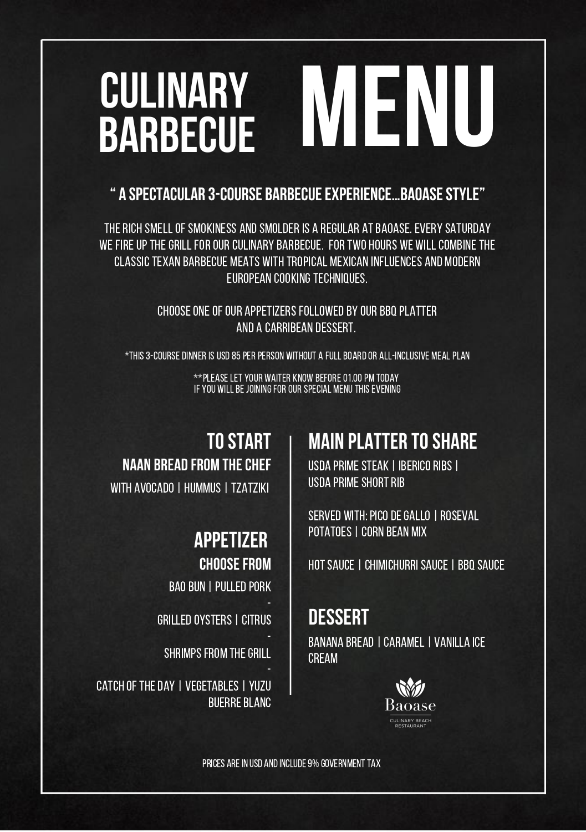# **CULINARY<br>BARBECUE barbecue menu**

### " A SPECTACULAR 3-COURSE BARBECUEEXPERIENCE…BAOASESTYLE"

THE RICH SMELL OF SMOKINESS AND SMOLDER IS A REGULAR AT BAOASE. EVERY SATURDAY WE FIRE UP THE GRILL FOR OUR CULINARY BARBECUE. FOR TWO HOURS WE WILL COMBINE THE CLASSICTEXAN BARBECUE MEATS WITH TROPICAL MEXICAN INFLUENCES AND MODERN EUROPEAN COOKINGTECHNIQUES.

> CHOOSE ONE OF OUR APPETIZERS FOLLOWED BY OUR BBO PLATTER AND A CARRIBEAN DESSERT.

\*THIS 3-COURSE DINNER IS USD 85 PER PERSON WITHOUT A FULL BOARD OR ALL-INCLUSIVE MEAL PLAN

\*\*Please let your waiter know before01.00PM today if you willbe joiningforourspecial menuthisevening

# tostart NAAN BREAD FROM THECHEF

WITH AVOCADO | HUMMUS | TZATZIKI

### APPETIZER **CHOOSE FROM**

BAO BUN | PULLED PORK

GRILLED OYSTERS | CITRUS

SHRIMPS FROM THE GRILL

CATCH OF THE DAY | VEGETABLES | YUZU **BUERRE BLANC** 

### **MAIN PLATTER TO SHARE**

USDA PRIME STEAK | IBERICO RIBS | USDA PRIME SHORT RIB

SERVED WITH: PICO DE GALLO | ROSEVAL POTATOES | CORN BEAN MIX

HOT SAUCE | CHIMICHURRI SAUCE | BBO SAUCE

## **DESSERT**

BANANA BREAD | CARAMEL | VANILLA ICE **CREAM** 



PRICES ARE IN USD AND INCLUDE 9% GOVERNMENT TAX